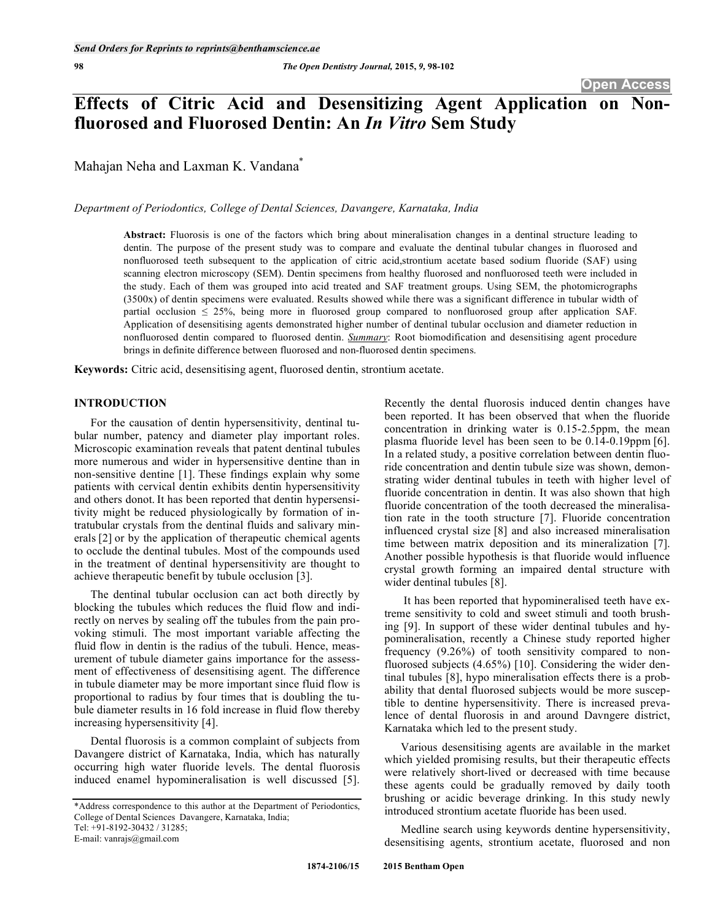# **Effects of Citric Acid and Desensitizing Agent Application on Nonfluorosed and Fluorosed Dentin: An** *In Vitro* **Sem Study**

Mahajan Neha and Laxman K. Vandana<sup>\*</sup>

*Department of Periodontics, College of Dental Sciences, Davangere, Karnataka, India* 

**Abstract:** Fluorosis is one of the factors which bring about mineralisation changes in a dentinal structure leading to dentin. The purpose of the present study was to compare and evaluate the dentinal tubular changes in fluorosed and nonfluorosed teeth subsequent to the application of citric acid,strontium acetate based sodium fluoride (SAF) using scanning electron microscopy (SEM). Dentin specimens from healthy fluorosed and nonfluorosed teeth were included in the study. Each of them was grouped into acid treated and SAF treatment groups. Using SEM, the photomicrographs (3500x) of dentin specimens were evaluated. Results showed while there was a significant difference in tubular width of partial occlusion  $\leq$  25%, being more in fluorosed group compared to nonfluorosed group after application SAF. Application of desensitising agents demonstrated higher number of dentinal tubular occlusion and diameter reduction in nonfluorosed dentin compared to fluorosed dentin. *Summary*: Root biomodification and desensitising agent procedure brings in definite difference between fluorosed and non-fluorosed dentin specimens.

**Keywords:** Citric acid, desensitising agent, fluorosed dentin, strontium acetate.

# **INTRODUCTION**

For the causation of dentin hypersensitivity, dentinal tubular number, patency and diameter play important roles. Microscopic examination reveals that patent dentinal tubules more numerous and wider in hypersensitive dentine than in non-sensitive dentine [1]. These findings explain why some patients with cervical dentin exhibits dentin hypersensitivity and others donot. It has been reported that dentin hypersensitivity might be reduced physiologically by formation of intratubular crystals from the dentinal fluids and salivary minerals [2] or by the application of therapeutic chemical agents to occlude the dentinal tubules. Most of the compounds used in the treatment of dentinal hypersensitivity are thought to achieve therapeutic benefit by tubule occlusion [3].

The dentinal tubular occlusion can act both directly by blocking the tubules which reduces the fluid flow and indirectly on nerves by sealing off the tubules from the pain provoking stimuli. The most important variable affecting the fluid flow in dentin is the radius of the tubuli. Hence, measurement of tubule diameter gains importance for the assessment of effectiveness of desensitising agent. The difference in tubule diameter may be more important since fluid flow is proportional to radius by four times that is doubling the tubule diameter results in 16 fold increase in fluid flow thereby increasing hypersensitivity [4].

Dental fluorosis is a common complaint of subjects from Davangere district of Karnataka, India, which has naturally occurring high water fluoride levels. The dental fluorosis induced enamel hypomineralisation is well discussed [5].

E-mail: vanrajs@gmail.com

Recently the dental fluorosis induced dentin changes have been reported. It has been observed that when the fluoride concentration in drinking water is 0.15-2.5ppm, the mean plasma fluoride level has been seen to be 0.14-0.19ppm [6]. In a related study, a positive correlation between dentin fluoride concentration and dentin tubule size was shown, demonstrating wider dentinal tubules in teeth with higher level of fluoride concentration in dentin. It was also shown that high fluoride concentration of the tooth decreased the mineralisation rate in the tooth structure [7]. Fluoride concentration influenced crystal size [8] and also increased mineralisation time between matrix deposition and its mineralization [7]. Another possible hypothesis is that fluoride would influence crystal growth forming an impaired dental structure with wider dentinal tubules [8].

It has been reported that hypomineralised teeth have extreme sensitivity to cold and sweet stimuli and tooth brushing [9]. In support of these wider dentinal tubules and hypomineralisation, recently a Chinese study reported higher frequency (9.26%) of tooth sensitivity compared to nonfluorosed subjects (4.65%) [10]. Considering the wider dentinal tubules [8], hypo mineralisation effects there is a probability that dental fluorosed subjects would be more susceptible to dentine hypersensitivity. There is increased prevalence of dental fluorosis in and around Davngere district, Karnataka which led to the present study.

Various desensitising agents are available in the market which yielded promising results, but their therapeutic effects were relatively short-lived or decreased with time because these agents could be gradually removed by daily tooth brushing or acidic beverage drinking. In this study newly introduced strontium acetate fluoride has been used.

Medline search using keywords dentine hypersensitivity, desensitising agents, strontium acetate, fluorosed and non

<sup>\*</sup>Address correspondence to this author at the Department of Periodontics, College of Dental Sciences Davangere, Karnataka, India; Tel: +91-8192-30432 / 31285;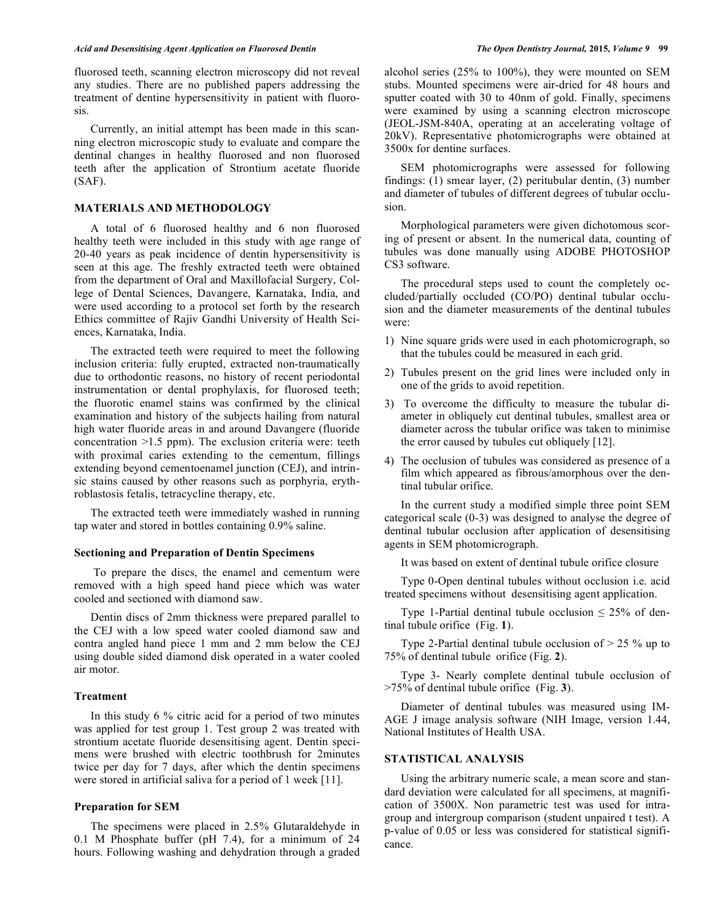fluorosed teeth, scanning electron microscopy did not reveal any studies. There are no published papers addressing the treatment of dentine hypersensitivity in patient with fluorosis.

Currently, an initial attempt has been made in this scanning electron microscopic study to evaluate and compare the dentinal changes in healthy fluorosed and non fluorosed teeth after the application of Strontium acetate fluoride (SAF).

## **MATERIALS AND METHODOLOGY**

A total of 6 fluorosed healthy and 6 non fluorosed healthy teeth were included in this study with age range of 20-40 years as peak incidence of dentin hypersensitivity is seen at this age. The freshly extracted teeth were obtained from the department of Oral and Maxillofacial Surgery, College of Dental Sciences, Davangere, Karnataka, India, and were used according to a protocol set forth by the research Ethics committee of Rajiv Gandhi University of Health Sciences, Karnataka, India.

The extracted teeth were required to meet the following inclusion criteria: fully erupted, extracted non-traumatically due to orthodontic reasons, no history of recent periodontal instrumentation or dental prophylaxis, for fluorosed teeth; the fluorotic enamel stains was confirmed by the clinical examination and history of the subjects hailing from natural high water fluoride areas in and around Davangere (fluoride concentration >1.5 ppm). The exclusion criteria were: teeth with proximal caries extending to the cementum, fillings extending beyond cementoenamel junction (CEJ), and intrinsic stains caused by other reasons such as porphyria, erythroblastosis fetalis, tetracycline therapy, etc.

The extracted teeth were immediately washed in running tap water and stored in bottles containing 0.9% saline.

## **Sectioning and Preparation of Dentin Specimens**

 To prepare the discs, the enamel and cementum were removed with a high speed hand piece which was water cooled and sectioned with diamond saw.

Dentin discs of 2mm thickness were prepared parallel to the CEJ with a low speed water cooled diamond saw and contra angled hand piece 1 mm and 2 mm below the CEJ using double sided diamond disk operated in a water cooled air motor.

### **Treatment**

In this study 6 % citric acid for a period of two minutes was applied for test group 1. Test group 2 was treated with strontium acetate fluoride desensitising agent. Dentin specimens were brushed with electric toothbrush for 2minutes twice per day for 7 days, after which the dentin specimens were stored in artificial saliva for a period of 1 week [11].

# **Preparation for SEM**

The specimens were placed in 2.5% Glutaraldehyde in 0.1 M Phosphate buffer (pH 7.4), for a minimum of 24 hours. Following washing and dehydration through a graded alcohol series (25% to 100%), they were mounted on SEM stubs. Mounted specimens were air-dried for 48 hours and sputter coated with 30 to 40nm of gold. Finally, specimens were examined by using a scanning electron microscope (JEOL-JSM-840A, operating at an accelerating voltage of 20kV). Representative photomicrographs were obtained at 3500x for dentine surfaces.

SEM photomicrographs were assessed for following findings: (1) smear layer, (2) peritubular dentin, (3) number and diameter of tubules of different degrees of tubular occlusion.

Morphological parameters were given dichotomous scoring of present or absent. In the numerical data, counting of tubules was done manually using ADOBE PHOTOSHOP CS3 software.

The procedural steps used to count the completely occluded/partially occluded (CO/PO) dentinal tubular occlusion and the diameter measurements of the dentinal tubules were:

- 1) Nine square grids were used in each photomicrograph, so that the tubules could be measured in each grid.
- 2) Tubules present on the grid lines were included only in one of the grids to avoid repetition.
- 3) To overcome the difficulty to measure the tubular diameter in obliquely cut dentinal tubules, smallest area or diameter across the tubular orifice was taken to minimise the error caused by tubules cut obliquely [12].
- 4) The occlusion of tubules was considered as presence of a film which appeared as fibrous/amorphous over the dentinal tubular orifice.

In the current study a modified simple three point SEM categorical scale (0-3) was designed to analyse the degree of dentinal tubular occlusion after application of desensitising agents in SEM photomicrograph.

It was based on extent of dentinal tubule orifice closure

Type 0-Open dentinal tubules without occlusion i.e. acid treated specimens without desensitising agent application.

Type 1-Partial dentinal tubule occlusion  $\leq 25\%$  of dentinal tubule orifice (Fig. **1**).

Type 2-Partial dentinal tubule occlusion of  $> 25$  % up to 75% of dentinal tubule orifice (Fig. **2**).

Type 3- Nearly complete dentinal tubule occlusion of >75% of dentinal tubule orifice (Fig. **3**).

Diameter of dentinal tubules was measured using IM-AGE J image analysis software (NIH Image, version 1.44, National Institutes of Health USA.

## **STATISTICAL ANALYSIS**

Using the arbitrary numeric scale, a mean score and standard deviation were calculated for all specimens, at magnification of 3500X. Non parametric test was used for intragroup and intergroup comparison (student unpaired t test). A p-value of 0.05 or less was considered for statistical significance.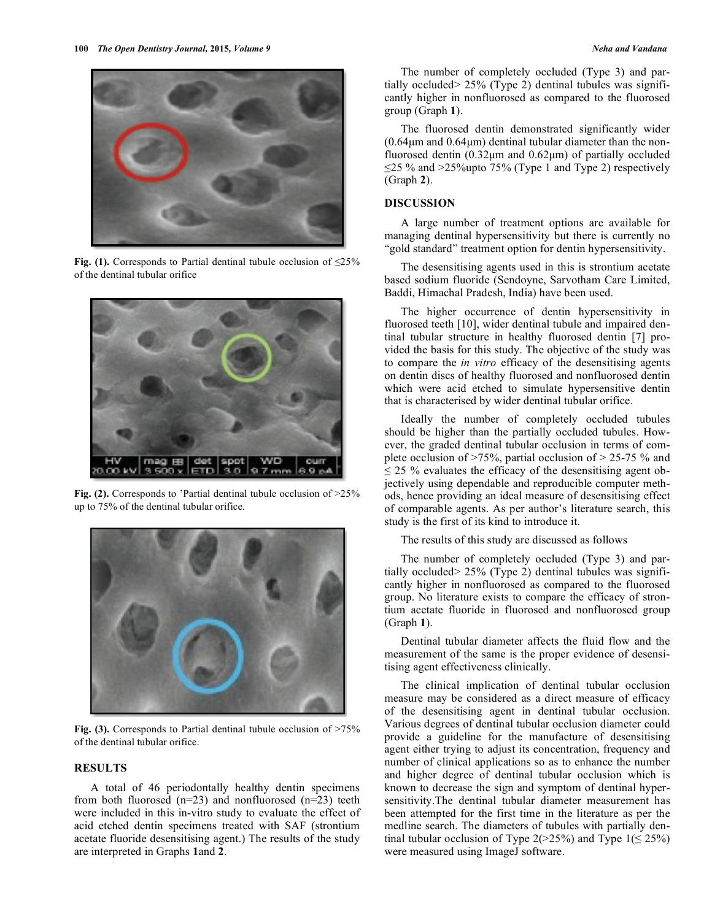

**Fig. (1).** Corresponds to Partial dentinal tubule occlusion of  $\leq 25\%$ of the dentinal tubular orifice



**Fig. (2).** Corresponds to 'Partial dentinal tubule occlusion of  $>25\%$ up to 75% of the dentinal tubular orifice.



**Fig. (3).** Corresponds to Partial dentinal tubule occlusion of >75% of the dentinal tubular orifice.

# **RESULTS**

A total of 46 periodontally healthy dentin specimens from both fluorosed  $(n=23)$  and nonfluorosed  $(n=23)$  teeth were included in this in-vitro study to evaluate the effect of acid etched dentin specimens treated with SAF (strontium acetate fluoride desensitising agent.) The results of the study are interpreted in Graphs **1**and **2**.

The number of completely occluded (Type 3) and partially occluded> 25% (Type 2) dentinal tubules was significantly higher in nonfluorosed as compared to the fluorosed group (Graph **1**).

The fluorosed dentin demonstrated significantly wider  $(0.64 \mu m$  and  $0.64 \mu m)$  dentinal tubular diameter than the nonfluorosed dentin (0.32μm and 0.62μm) of partially occluded  $\leq$ 25 % and >25% upto 75% (Type 1 and Type 2) respectively (Graph **2**).

# **DISCUSSION**

A large number of treatment options are available for managing dentinal hypersensitivity but there is currently no "gold standard" treatment option for dentin hypersensitivity.

The desensitising agents used in this is strontium acetate based sodium fluoride (Sendoyne, Sarvotham Care Limited, Baddi, Himachal Pradesh, India) have been used.

The higher occurrence of dentin hypersensitivity in fluorosed teeth [10], wider dentinal tubule and impaired dentinal tubular structure in healthy fluorosed dentin [7] provided the basis for this study. The objective of the study was to compare the *in vitro* efficacy of the desensitising agents on dentin discs of healthy fluorosed and nonfluorosed dentin which were acid etched to simulate hypersensitive dentin that is characterised by wider dentinal tubular orifice.

Ideally the number of completely occluded tubules should be higher than the partially occluded tubules. However, the graded dentinal tubular occlusion in terms of complete occlusion of >75%, partial occlusion of > 25-75 % and  $\leq$  25 % evaluates the efficacy of the desensitising agent objectively using dependable and reproducible computer methods, hence providing an ideal measure of desensitising effect of comparable agents. As per author's literature search, this study is the first of its kind to introduce it.

The results of this study are discussed as follows

The number of completely occluded (Type 3) and partially occluded> 25% (Type 2) dentinal tubules was significantly higher in nonfluorosed as compared to the fluorosed group. No literature exists to compare the efficacy of strontium acetate fluoride in fluorosed and nonfluorosed group (Graph **1**).

Dentinal tubular diameter affects the fluid flow and the measurement of the same is the proper evidence of desensitising agent effectiveness clinically.

The clinical implication of dentinal tubular occlusion measure may be considered as a direct measure of efficacy of the desensitising agent in dentinal tubular occlusion. Various degrees of dentinal tubular occlusion diameter could provide a guideline for the manufacture of desensitising agent either trying to adjust its concentration, frequency and number of clinical applications so as to enhance the number and higher degree of dentinal tubular occlusion which is known to decrease the sign and symptom of dentinal hypersensitivity.The dentinal tubular diameter measurement has been attempted for the first time in the literature as per the medline search. The diameters of tubules with partially dentinal tubular occlusion of Type  $2(>25%)$  and Type  $1(\leq 25%)$ were measured using ImageJ software.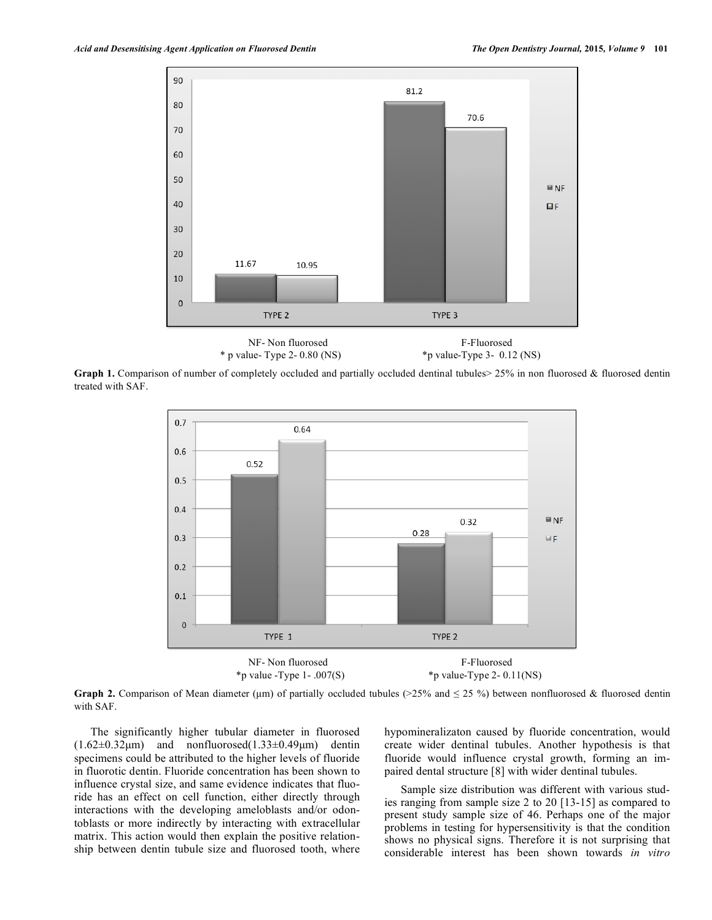

**Graph 1.** Comparison of number of completely occluded and partially occluded dentinal tubules  $>$  25% in non fluorosed & fluorosed dentin treated with SAF.



**Graph 2.** Comparison of Mean diameter (um) of partially occluded tubules ( $>25\%$  and  $\leq 25\%$ ) between nonfluorosed & fluorosed dentin with SAF.

The significantly higher tubular diameter in fluorosed  $(1.62\pm0.32\mu m)$  and nonfluorosed $(1.33\pm0.49\mu m)$  dentin specimens could be attributed to the higher levels of fluoride in fluorotic dentin. Fluoride concentration has been shown to influence crystal size, and same evidence indicates that fluoride has an effect on cell function, either directly through interactions with the developing ameloblasts and/or odontoblasts or more indirectly by interacting with extracellular matrix. This action would then explain the positive relationship between dentin tubule size and fluorosed tooth, where hypomineralizaton caused by fluoride concentration, would create wider dentinal tubules. Another hypothesis is that fluoride would influence crystal growth, forming an impaired dental structure [8] with wider dentinal tubules.

Sample size distribution was different with various studies ranging from sample size 2 to 20 [13-15] as compared to present study sample size of 46. Perhaps one of the major problems in testing for hypersensitivity is that the condition shows no physical signs. Therefore it is not surprising that considerable interest has been shown towards *in vitro*